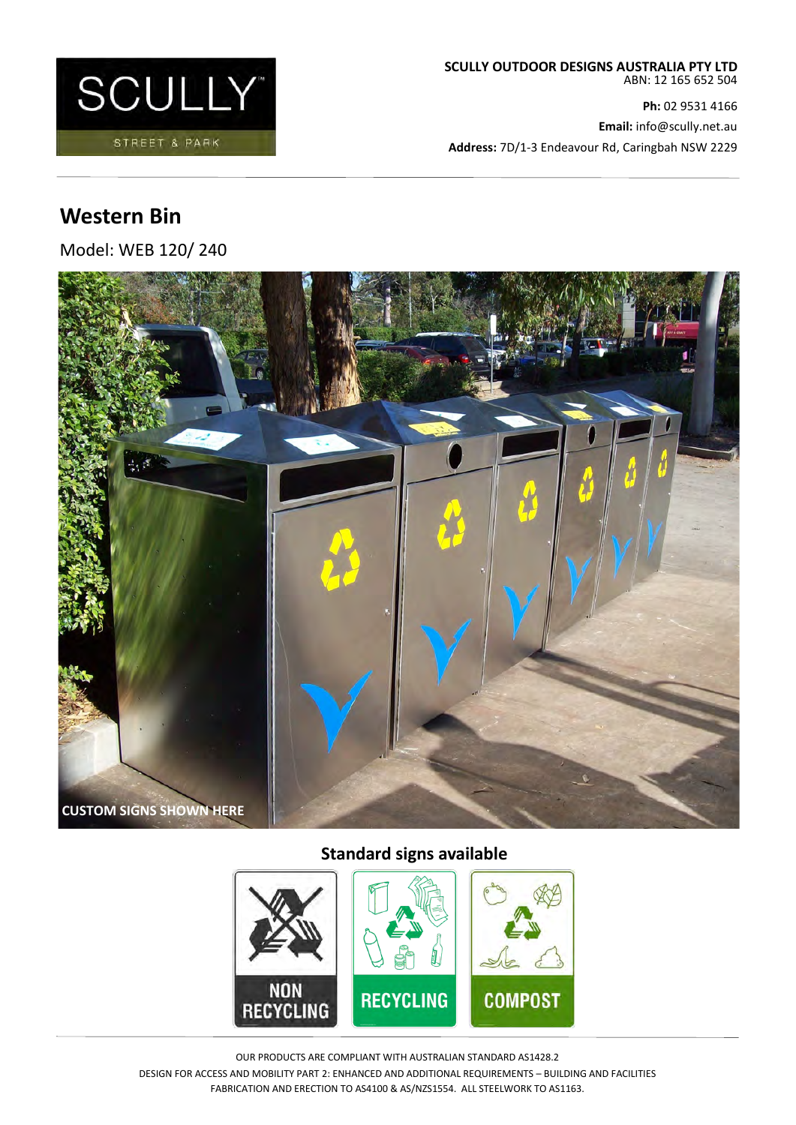

**Ph:** 02 9531 4166 **Email:** info@scully.net.au **Address:** 7D/1-3 Endeavour Rd, Caringbah NSW 2229

# **Western Bin**

Model: WEB 120/ 240



## **Standard signs available**



OUR PRODUCTS ARE COMPLIANT WITH AUSTRALIAN STANDARD AS1428.2 DESIGN FOR ACCESS AND MOBILITY PART 2: ENHANCED AND ADDITIONAL REQUIREMENTS – BUILDING AND FACILITIES FABRICATION AND ERECTION TO AS4100 & AS/NZS1554. ALL STEELWORK TO AS1163.